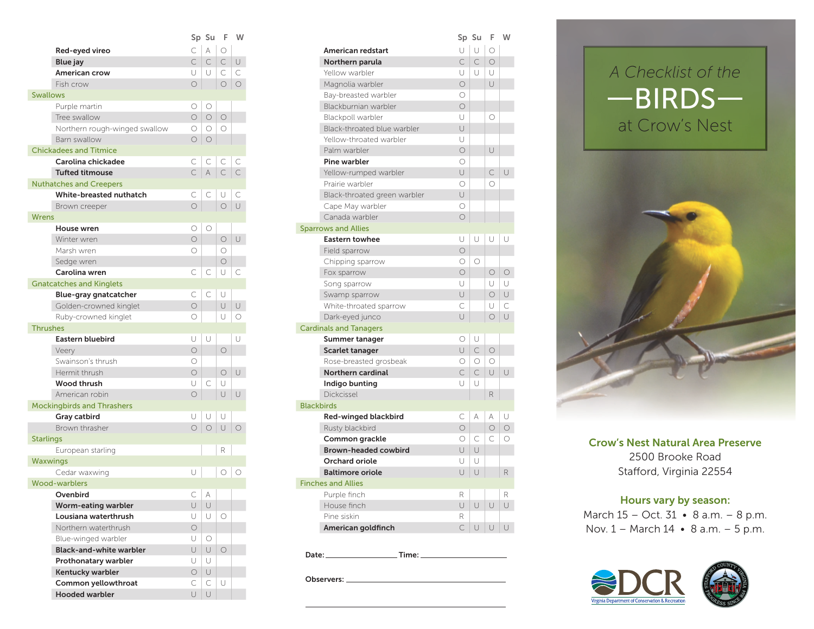|                 |                                   | Sp             | Su         | F          | W          |
|-----------------|-----------------------------------|----------------|------------|------------|------------|
|                 | Red-eyed vireo                    | Ċ              | A          | О          |            |
|                 | <b>Blue</b> jay                   | C              | C          | C.         | U          |
|                 | American crow                     | U              | U          | $\subset$  | C          |
|                 | Fish crow                         | $\bigcirc$     |            | $\circ$    | $\circ$    |
| <b>Swallows</b> |                                   |                |            |            |            |
|                 | Purple martin                     | О              | О          |            |            |
|                 | Tree swallow                      | $\circ$        | $\circ$    | $\circ$    |            |
|                 | Northern rough-winged swallow     | О              | O          | О          |            |
|                 | Barn swallow                      | О              | $\bigcirc$ |            |            |
|                 | <b>Chickadees and Titmice</b>     |                |            |            |            |
|                 | Carolina chickadee                | С              | С          | C          | С          |
|                 | <b>Tufted titmouse</b>            | C              | A          | С          | C          |
|                 | <b>Nuthatches and Creepers</b>    |                |            |            |            |
|                 | White-breasted nuthatch           | С              | C          | U          | C          |
|                 | Brown creeper                     | $\bigcirc$     |            | $\circ$    | $\cup$     |
| <b>Wrens</b>    |                                   |                |            |            |            |
|                 | House wren                        | О              | О          |            |            |
|                 | Winter wren                       | $\circ$        |            | $\circ$    | U          |
|                 | Marsh wren                        | Ω              |            | Ο          |            |
|                 | Sedge wren                        |                |            | $\bigcirc$ |            |
|                 | Carolina wren                     | С              | С          | U          | С          |
|                 | <b>Gnatcatches and Kinglets</b>   |                |            |            |            |
|                 | Blue-gray gnatcatcher             | С              | С          | U          |            |
|                 | Golden-crowned kinglet            | $\circ$        |            | Ū          | U          |
|                 | Ruby-crowned kinglet              | 0              |            | U          | О          |
| <b>Thrushes</b> |                                   |                |            |            |            |
|                 | Eastern bluebird                  | U              | U          |            | U          |
|                 |                                   | $\circ$        |            | $\circ$    |            |
|                 | Veery<br>Swainson's thrush        | О              |            |            |            |
|                 | Hermit thrush                     | $\bigcirc$     |            | 0          | U          |
|                 | <b>Wood thrush</b>                | U              |            | U          |            |
|                 |                                   |                | С          | U          |            |
|                 | American robin                    | О              |            |            | U          |
|                 | <b>Mockingbirds and Thrashers</b> |                |            |            |            |
|                 | Gray catbird<br>Brown thrasher    | U              | U          | U          |            |
|                 |                                   | $\circ$        | $\bigcirc$ | U          | $\bigcirc$ |
| Starlings       |                                   |                |            |            |            |
|                 | European starling                 |                |            | R          |            |
| Waxwings        |                                   |                |            |            |            |
|                 | Cedar waxwing                     | U              |            | $\circ$    | О          |
|                 | <b>Wood-warblers</b>              |                |            |            |            |
|                 | Ovenbird                          | $\subset$<br>U | U          |            |            |
|                 | Worm-eating warbler               |                |            |            |            |
|                 | Lousiana waterthrush              | U              | U          | О          |            |
|                 | Northern waterthrush              | $\circ$        |            |            |            |
|                 | Blue-winged warbler               | U              | О          |            |            |
|                 | <b>Black-and-white warbler</b>    | U              | U          | $\bigcirc$ |            |
|                 | Prothonatary warbler              | U              | U          |            |            |
|                 | Kentucky warbler                  | $\bigcirc$     | U          |            |            |
|                 | Common yellowthroat               | С              | С          | U          |            |
|                 | <b>Hooded warbler</b>             | U              | U          |            |            |

|            | Sp Su      | F         | W          |
|------------|------------|-----------|------------|
| C          | A          | $\circ$   |            |
| C.         | $\subset$  | $\subset$ | $\cup$     |
| U          | U          | C         | $\subset$  |
| $\bigcirc$ |            | $\circ$   | $\circ$    |
|            |            |           |            |
| $\circ$    | $\circ$    |           |            |
| O          | $\circ$    | $\circ$   |            |
| О          | $\circ$    | $\circ$   |            |
| О          | $\circ$    |           |            |
|            |            |           |            |
| С          | C          | С         | С          |
| С          | A          | C         | $\subset$  |
|            |            |           |            |
| С          | C          | U         | C          |
| О          |            | $\circ$   | $\cup$     |
|            |            |           |            |
| О          | $\circ$    |           |            |
| О          |            | $\circ$   | U          |
| O          |            | 0         |            |
|            |            | $\circ$   |            |
| С          | С          | U         | $\subset$  |
|            |            |           |            |
| Ċ          | $\subset$  | U         |            |
| О          |            | U         | U          |
| О          |            | U         | $\circ$    |
|            |            |           |            |
| U          | U          |           | U          |
| О          |            | $\circ$   |            |
| О          |            |           |            |
| O          |            | $\circ$   | U          |
| U          | C          | U         |            |
| О          |            | U         | $\cup$     |
|            |            |           |            |
| U          | U          | U         |            |
| О          | $\circ$    | $\cup$    | $\bigcirc$ |
|            |            |           |            |
|            |            | R         |            |
|            |            |           |            |
| U          |            | О         | $\circ$    |
|            |            |           |            |
| С          | A          |           |            |
| Ū          | $\cup$     |           |            |
| U          | U          | $\circ$   |            |
| О          |            |           |            |
| U          | $\bigcirc$ |           |            |

Date: Time:

Observers:





Crow's Nest Natural Area Preserve 2500 Brooke Road Stafford, Virginia 22554

## Hours vary by season:

March 15 – Oct. 31 • 8 a.m. – 8 p.m. Nov. 1 – March 14 • 8 a.m. – 5 p.m.